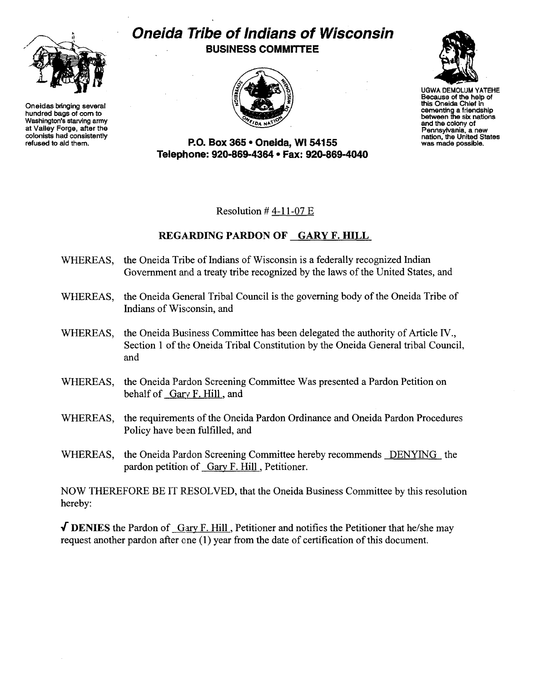

Oneidas bringing several hundred bags of com to Washington's starving army at Valley Forge, after the colonists had consistently refused to aid them.

## Oneida 'Tribe of Indians of Wisconsin BUSINESS COMMITTEE





UGWA DEMOLUM YATEHE Because of the help of this Oneida Chief in cementing a friendship between the six nations and the colony of<br>Pennsylvania, a new Pennsylvania, a new nation, the United States was made possible.

P.o. Box 365· Oneida, WI 54155 Telephone: 920-869-4364 • Fax: 920-869-4040

Resolution  $#4-11-07E$ 

## REGARDING PARDON OF GARY F. HILL

- WHEREAS, the Oneida Tribe of Indians of Wisconsin is a federally recognized Indian Government and a treaty tribe recognized by the laws of the United States, and
- WHEREAS, the Oneida General Tribal Council is the governing body of the Oneida Tribe of Indians of Wisconsin, and
- WHEREAS, the Oneida Business Committee has been delegated the authority of Article IV., Section 1 of the Oneida Tribal Constitution by the Oneida General tribal Council, and
- WHEREAS, the Oneida Pardon Screening Committee Was presented a Pardon Petition on behalf of Gary F. Hill, and
- WHEREAS, the requirements of the Oneida Pardon Ordinance and Oneida Pardon Procedures Policy have been fulfilled, and
- WHEREAS, the Oneida Pardon Screening Committee hereby recommends DENYING the pardon petition of Gary F. Hill , Petitioner.

NOW THEREFORE BE IT RESOLVED, that the Oneida Business Committee by this resolution hereby:

 $\sqrt{\text{DENIES}}$  the Pardon of Gary F. Hill, Petitioner and notifies the Petitioner that he/she may request another pardon after one (1) year from the date of certification of this document.